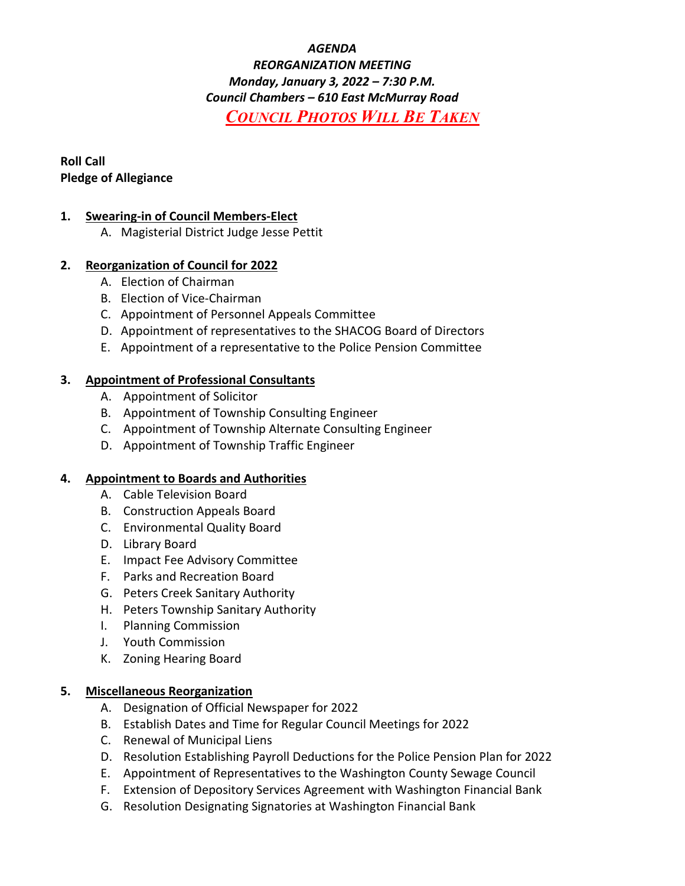# *AGENDA REORGANIZATION MEETING Monday, January 3, 2022 – 7:30 P.M. Council Chambers – 610 East McMurray Road COUNCIL PHOTOS WILL BE TAKEN*

# **Roll Call Pledge of Allegiance**

# **1. Swearing-in of Council Members-Elect**

A. Magisterial District Judge Jesse Pettit

# **2. Reorganization of Council for 2022**

- A. Election of Chairman
- B. Election of Vice-Chairman
- C. Appointment of Personnel Appeals Committee
- D. Appointment of representatives to the SHACOG Board of Directors
- E. Appointment of a representative to the Police Pension Committee

### **3. Appointment of Professional Consultants**

- A. Appointment of Solicitor
- B. Appointment of Township Consulting Engineer
- C. Appointment of Township Alternate Consulting Engineer
- D. Appointment of Township Traffic Engineer

#### **4. Appointment to Boards and Authorities**

- A. Cable Television Board
- B. Construction Appeals Board
- C. Environmental Quality Board
- D. Library Board
- E. Impact Fee Advisory Committee
- F. Parks and Recreation Board
- G. Peters Creek Sanitary Authority
- H. Peters Township Sanitary Authority
- I. Planning Commission
- J. Youth Commission
- K. Zoning Hearing Board

#### **5. Miscellaneous Reorganization**

- A. Designation of Official Newspaper for 2022
- B. Establish Dates and Time for Regular Council Meetings for 2022
- C. Renewal of Municipal Liens
- D. Resolution Establishing Payroll Deductions for the Police Pension Plan for 2022
- E. Appointment of Representatives to the Washington County Sewage Council
- F. Extension of Depository Services Agreement with Washington Financial Bank
- G. Resolution Designating Signatories at Washington Financial Bank